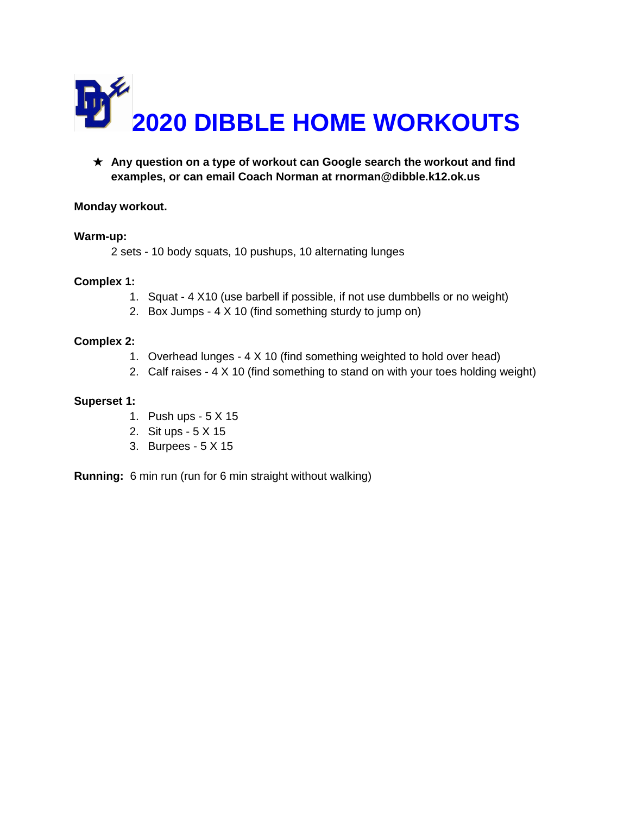

★ **Any question on a type of workout can Google search the workout and find examples, or can email Coach Norman at rnorman@dibble.k12.ok.us** 

### **Monday workout.**

#### **Warm-up:**

2 sets - 10 body squats, 10 pushups, 10 alternating lunges

### **Complex 1:**

- 1. Squat 4 X10 (use barbell if possible, if not use dumbbells or no weight)
- 2. Box Jumps 4 X 10 (find something sturdy to jump on)

#### **Complex 2:**

- 1. Overhead lunges 4 X 10 (find something weighted to hold over head)
- 2. Calf raises 4 X 10 (find something to stand on with your toes holding weight)

### **Superset 1:**

- 1. Push ups 5 X 15
- 2. Sit ups 5 X 15
- 3. Burpees 5 X 15

**Running:** 6 min run (run for 6 min straight without walking)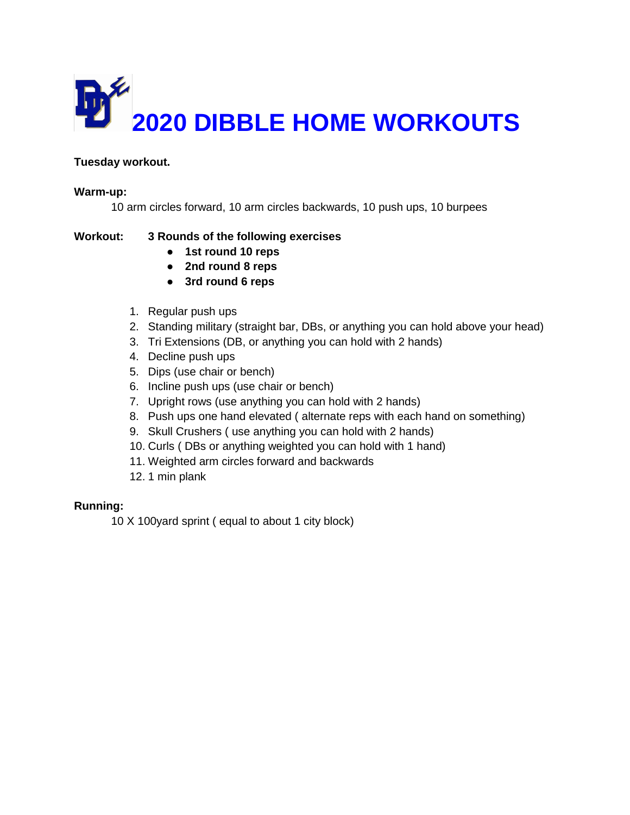

# **Tuesday workout.**

### **Warm-up:**

10 arm circles forward, 10 arm circles backwards, 10 push ups, 10 burpees

# **Workout: 3 Rounds of the following exercises**

- **1st round 10 reps**
- **2nd round 8 reps**
- **3rd round 6 reps**
- 1. Regular push ups
- 2. Standing military (straight bar, DBs, or anything you can hold above your head)
- 3. Tri Extensions (DB, or anything you can hold with 2 hands)
- 4. Decline push ups
- 5. Dips (use chair or bench)
- 6. Incline push ups (use chair or bench)
- 7. Upright rows (use anything you can hold with 2 hands)
- 8. Push ups one hand elevated ( alternate reps with each hand on something)
- 9. Skull Crushers ( use anything you can hold with 2 hands)
- 10. Curls ( DBs or anything weighted you can hold with 1 hand)
- 11. Weighted arm circles forward and backwards
- 12. 1 min plank

# **Running:**

10 X 100yard sprint ( equal to about 1 city block)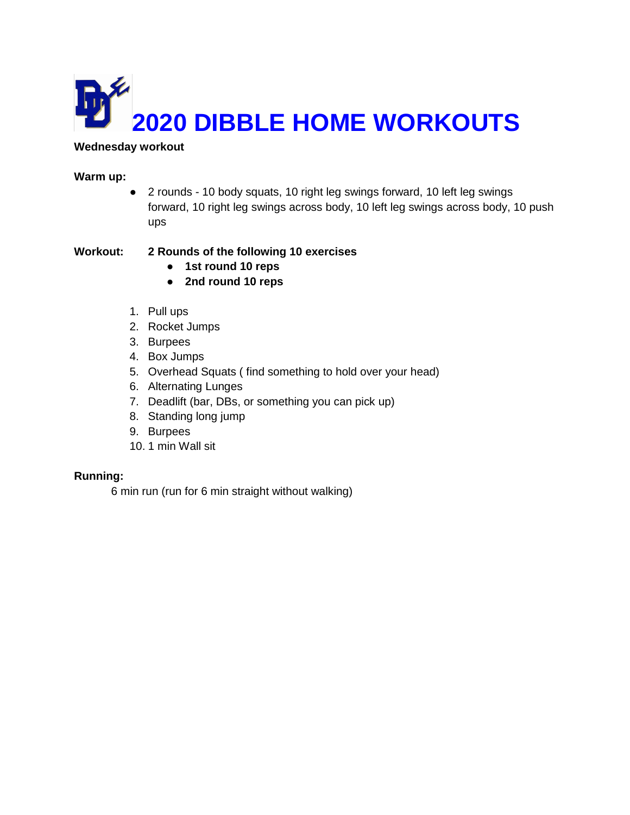

### **Wednesday workout**

### **Warm up:**

● 2 rounds - 10 body squats, 10 right leg swings forward, 10 left leg swings forward, 10 right leg swings across body, 10 left leg swings across body, 10 push ups

# **Workout: 2 Rounds of the following 10 exercises**

- **1st round 10 reps**
- **2nd round 10 reps**
- 1. Pull ups
- 2. Rocket Jumps
- 3. Burpees
- 4. Box Jumps
- 5. Overhead Squats ( find something to hold over your head)
- 6. Alternating Lunges
- 7. Deadlift (bar, DBs, or something you can pick up)
- 8. Standing long jump
- 9. Burpees
- 10. 1 min Wall sit

# **Running:**

6 min run (run for 6 min straight without walking)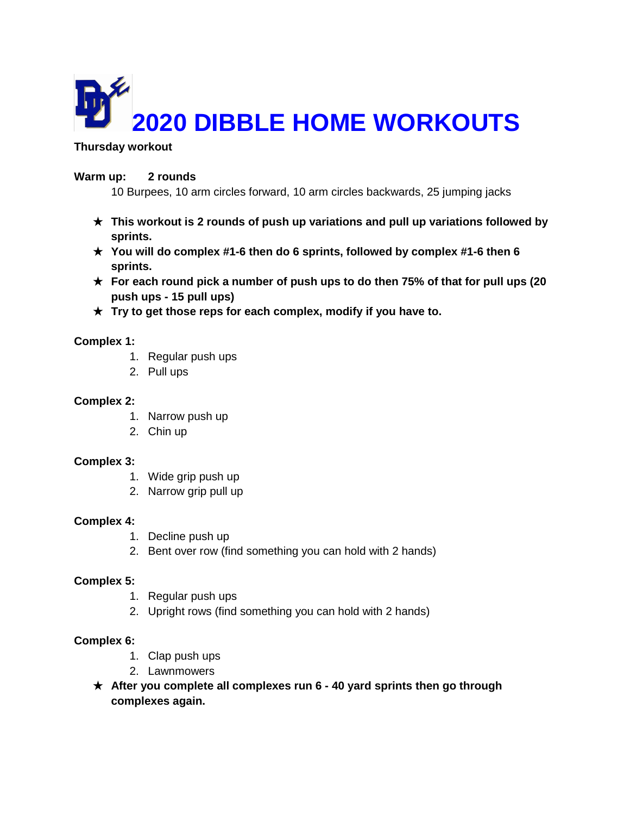

**Thursday workout** 

### **Warm up: 2 rounds**

10 Burpees, 10 arm circles forward, 10 arm circles backwards, 25 jumping jacks

- ★ **This workout is 2 rounds of push up variations and pull up variations followed by sprints.**
- ★ **You will do complex #1-6 then do 6 sprints, followed by complex #1-6 then 6 sprints.**
- ★ **For each round pick a number of push ups to do then 75% of that for pull ups (20 push ups - 15 pull ups)**
- ★ **Try to get those reps for each complex, modify if you have to.**

# **Complex 1:**

- 1. Regular push ups
- 2. Pull ups

### **Complex 2:**

- 1. Narrow push up
- 2. Chin up

#### **Complex 3:**

- 1. Wide grip push up
- 2. Narrow grip pull up

# **Complex 4:**

- 1. Decline push up
- 2. Bent over row (find something you can hold with 2 hands)

#### **Complex 5:**

- 1. Regular push ups
- 2. Upright rows (find something you can hold with 2 hands)

# **Complex 6:**

- 1. Clap push ups
- 2. Lawnmowers
- ★ **After you complete all complexes run 6 40 yard sprints then go through complexes again.**